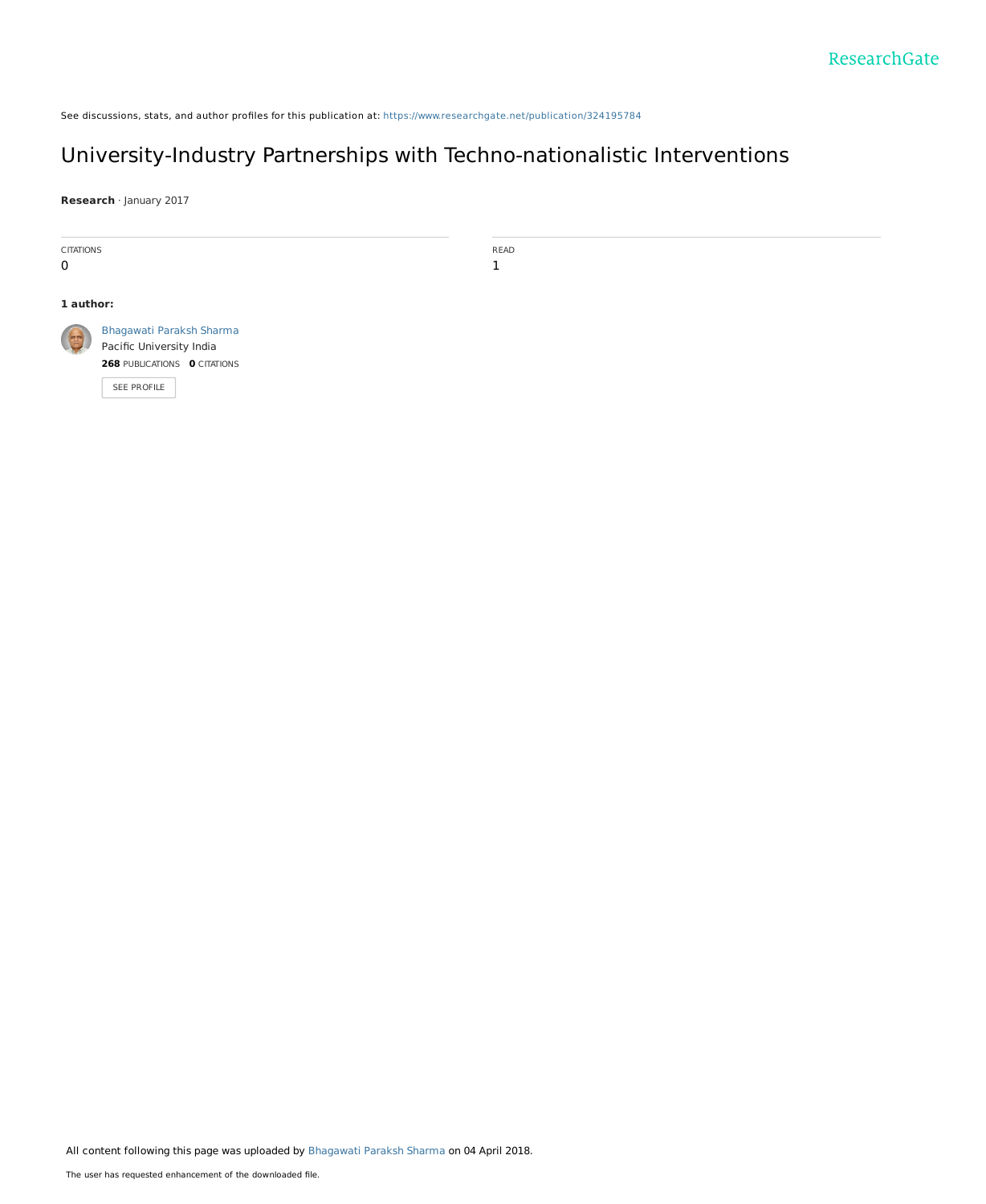See discussions, stats, and author profiles for this publication at: [https://www.researchgate.net/publication/324195784](https://www.researchgate.net/publication/324195784_University-Industry_Partnerships_with_Techno-nationalistic_Interventions?enrichId=rgreq-745d58c26d3b51ce18011f020a4cf405-XXX&enrichSource=Y292ZXJQYWdlOzMyNDE5NTc4NDtBUzo2MTE1ODI4NjIxODQ0NDlAMTUyMjgyNDEyNTg5MQ%3D%3D&el=1_x_2&_esc=publicationCoverPdf)

# University-Industry Partnerships with [Techno-nationalistic](https://www.researchgate.net/publication/324195784_University-Industry_Partnerships_with_Techno-nationalistic_Interventions?enrichId=rgreq-745d58c26d3b51ce18011f020a4cf405-XXX&enrichSource=Y292ZXJQYWdlOzMyNDE5NTc4NDtBUzo2MTE1ODI4NjIxODQ0NDlAMTUyMjgyNDEyNTg5MQ%3D%3D&el=1_x_3&_esc=publicationCoverPdf) Interventions

READ 1

**Research** · January 2017



All content following this page was uploaded by [Bhagawati](https://www.researchgate.net/profile/Bhagawati_Sharma?enrichId=rgreq-745d58c26d3b51ce18011f020a4cf405-XXX&enrichSource=Y292ZXJQYWdlOzMyNDE5NTc4NDtBUzo2MTE1ODI4NjIxODQ0NDlAMTUyMjgyNDEyNTg5MQ%3D%3D&el=1_x_10&_esc=publicationCoverPdf) Paraksh Sharma on 04 April 2018.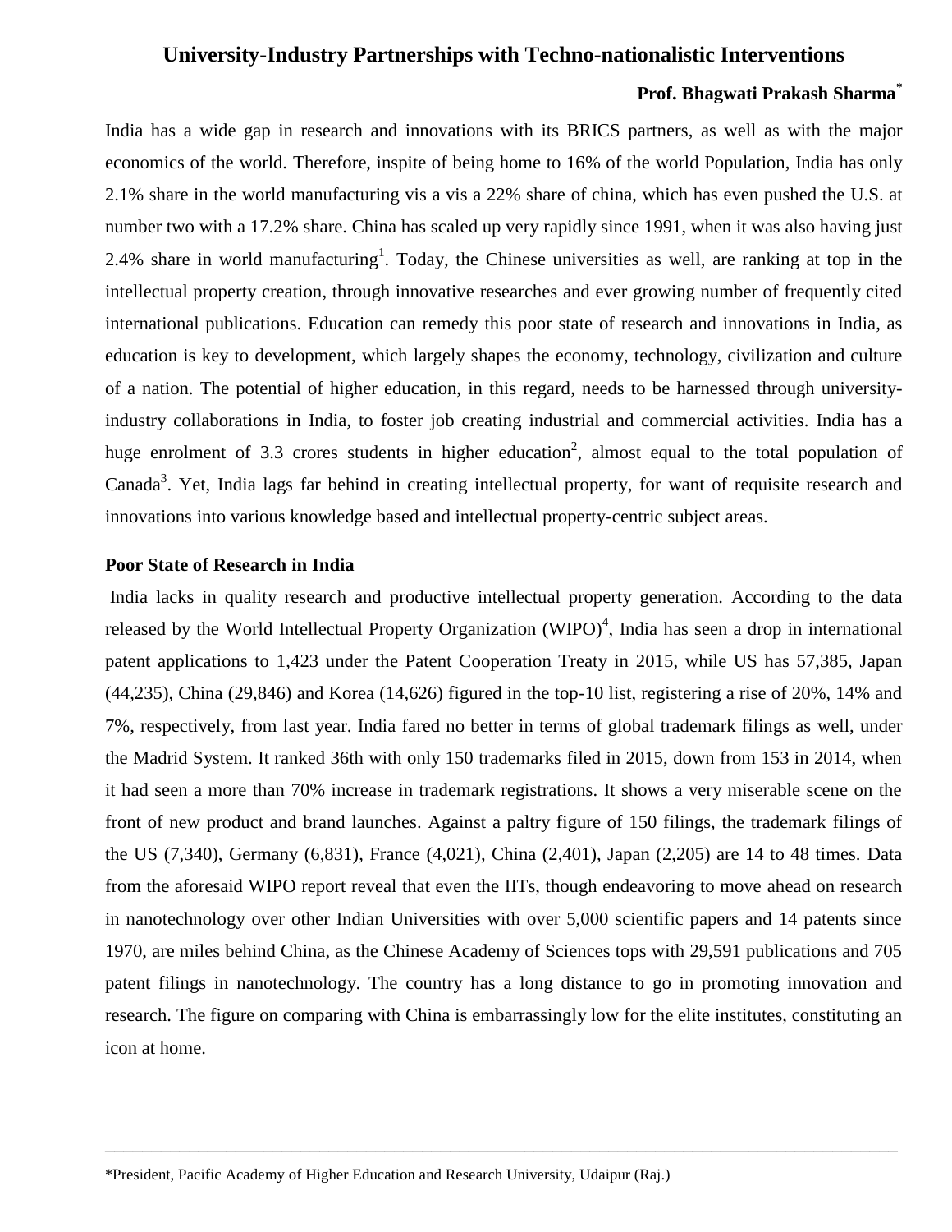## **University-Industry Partnerships with Techno-nationalistic Interventions**

### **Prof. Bhagwati Prakash Sharma\***

India has a wide gap in research and innovations with its BRICS partners, as well as with the major economics of the world. Therefore, inspite of being home to 16% of the world Population, India has only 2.1% share in the world manufacturing vis a vis a 22% share of china, which has even pushed the U.S. at number two with a 17.2% share. China has scaled up very rapidly since 1991, when it was also having just 2.4% share in world manufacturing<sup>1</sup>. Today, the Chinese universities as well, are ranking at top in the intellectual property creation, through innovative researches and ever growing number of frequently cited international publications. Education can remedy this poor state of research and innovations in India, as education is key to development, which largely shapes the economy, technology, civilization and culture of a nation. The potential of higher education, in this regard, needs to be harnessed through universityindustry collaborations in India, to foster job creating industrial and commercial activities. India has a huge enrolment of 3.3 crores students in higher education<sup>2</sup>, almost equal to the total population of Canada<sup>3</sup>. Yet, India lags far behind in creating intellectual property, for want of requisite research and innovations into various knowledge based and intellectual property-centric subject areas.

## **Poor State of Research in India**

India lacks in quality research and productive intellectual property generation. According to the data released by the World Intellectual Property Organization  $(WIPO)^4$ , India has seen a drop in international patent applications to 1,423 under the Patent Cooperation Treaty in 2015, while US has 57,385, Japan (44,235), China (29,846) and Korea (14,626) figured in the top-10 list, registering a rise of 20%, 14% and 7%, respectively, from last year. India fared no better in terms of global trademark filings as well, under the Madrid System. It ranked 36th with only 150 trademarks filed in 2015, down from 153 in 2014, when it had seen a more than 70% increase in trademark registrations. It shows a very miserable scene on the front of new product and brand launches. Against a paltry figure of 150 filings, the trademark filings of the US (7,340), Germany (6,831), France (4,021), China (2,401), Japan (2,205) are 14 to 48 times. Data from the aforesaid WIPO report reveal that even the IITs, though endeavoring to move ahead on research in nanotechnology over other Indian Universities with over 5,000 scientific papers and 14 patents since 1970, are miles behind China, as the Chinese Academy of Sciences tops with 29,591 publications and 705 patent filings in nanotechnology. The country has a long distance to go in promoting innovation and research. The figure on comparing with China is embarrassingly low for the elite institutes, constituting an icon at home.

\_\_\_\_\_\_\_\_\_\_\_\_\_\_\_\_\_\_\_\_\_\_\_\_\_\_\_\_\_\_\_\_\_\_\_\_\_\_\_\_\_\_\_\_\_\_\_\_\_\_\_\_\_\_\_\_\_\_\_\_\_\_\_\_\_\_\_\_\_\_\_\_\_\_\_\_\_\_\_\_\_\_\_\_\_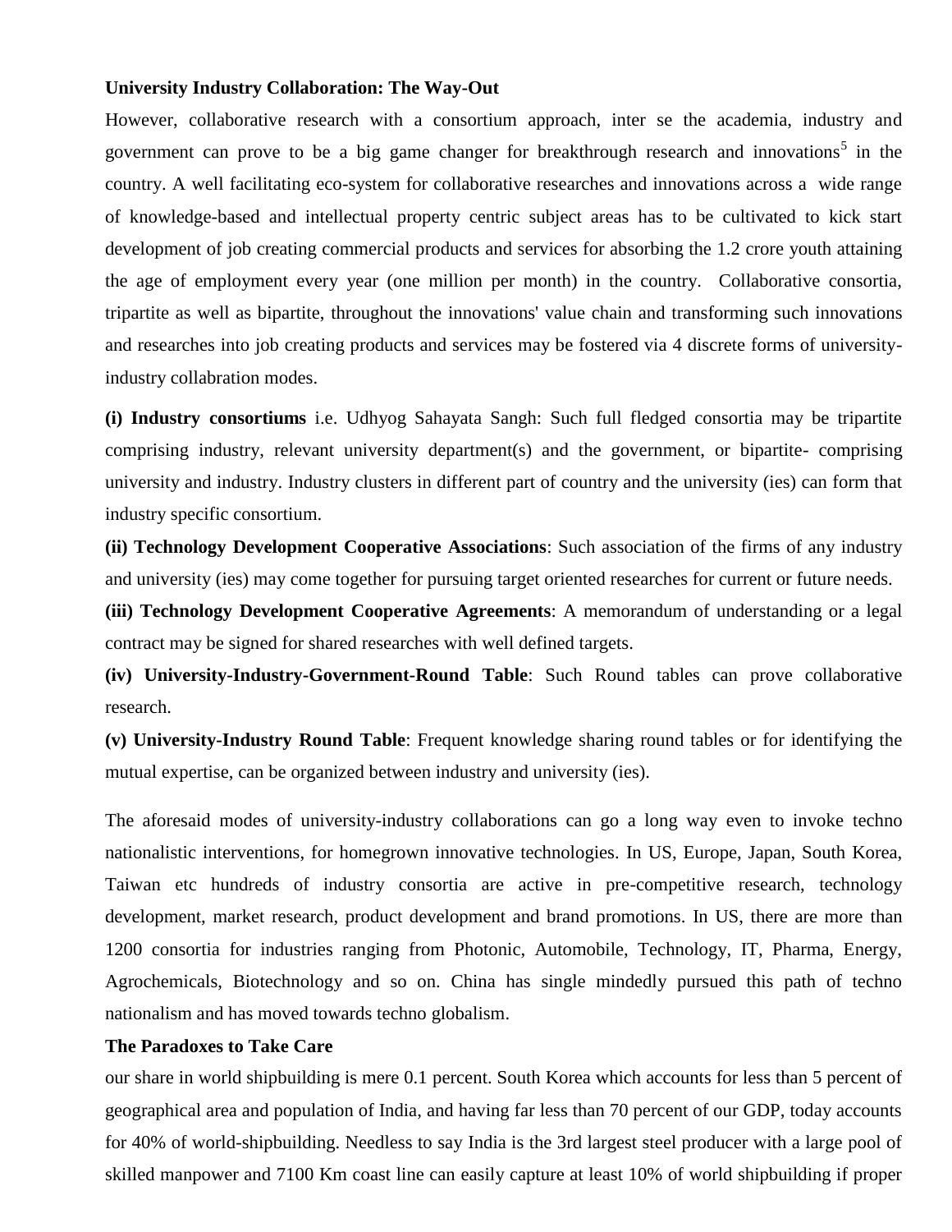#### **University Industry Collaboration: The Way-Out**

However, collaborative research with a consortium approach, inter se the academia, industry and government can prove to be a big game changer for breakthrough research and innovations<sup>5</sup> in the country. A well facilitating eco-system for collaborative researches and innovations across a wide range of knowledge-based and intellectual property centric subject areas has to be cultivated to kick start development of job creating commercial products and services for absorbing the 1.2 crore youth attaining the age of employment every year (one million per month) in the country. Collaborative consortia, tripartite as well as bipartite, throughout the innovations' value chain and transforming such innovations and researches into job creating products and services may be fostered via 4 discrete forms of universityindustry collabration modes.

**(i) Industry consortiums** i.e. Udhyog Sahayata Sangh: Such full fledged consortia may be tripartite comprising industry, relevant university department(s) and the government, or bipartite- comprising university and industry. Industry clusters in different part of country and the university (ies) can form that industry specific consortium.

**(ii) Technology Development Cooperative Associations**: Such association of the firms of any industry and university (ies) may come together for pursuing target oriented researches for current or future needs.

**(iii) Technology Development Cooperative Agreements**: A memorandum of understanding or a legal contract may be signed for shared researches with well defined targets.

**(iv) University-Industry-Government-Round Table**: Such Round tables can prove collaborative research.

**(v) University-Industry Round Table**: Frequent knowledge sharing round tables or for identifying the mutual expertise, can be organized between industry and university (ies).

The aforesaid modes of university-industry collaborations can go a long way even to invoke techno nationalistic interventions, for homegrown innovative technologies. In US, Europe, Japan, South Korea, Taiwan etc hundreds of industry consortia are active in pre-competitive research, technology development, market research, product development and brand promotions. In US, there are more than 1200 consortia for industries ranging from Photonic, Automobile, Technology, IT, Pharma, Energy, Agrochemicals, Biotechnology and so on. China has single mindedly pursued this path of techno nationalism and has moved towards techno globalism.

## **The Paradoxes to Take Care**

our share in world shipbuilding is mere 0.1 percent. South Korea which accounts for less than 5 percent of geographical area and population of India, and having far less than 70 percent of our GDP, today accounts for 40% of world-shipbuilding. Needless to say India is the 3rd largest steel producer with a large pool of skilled manpower and 7100 Km coast line can easily capture at least 10% of world shipbuilding if proper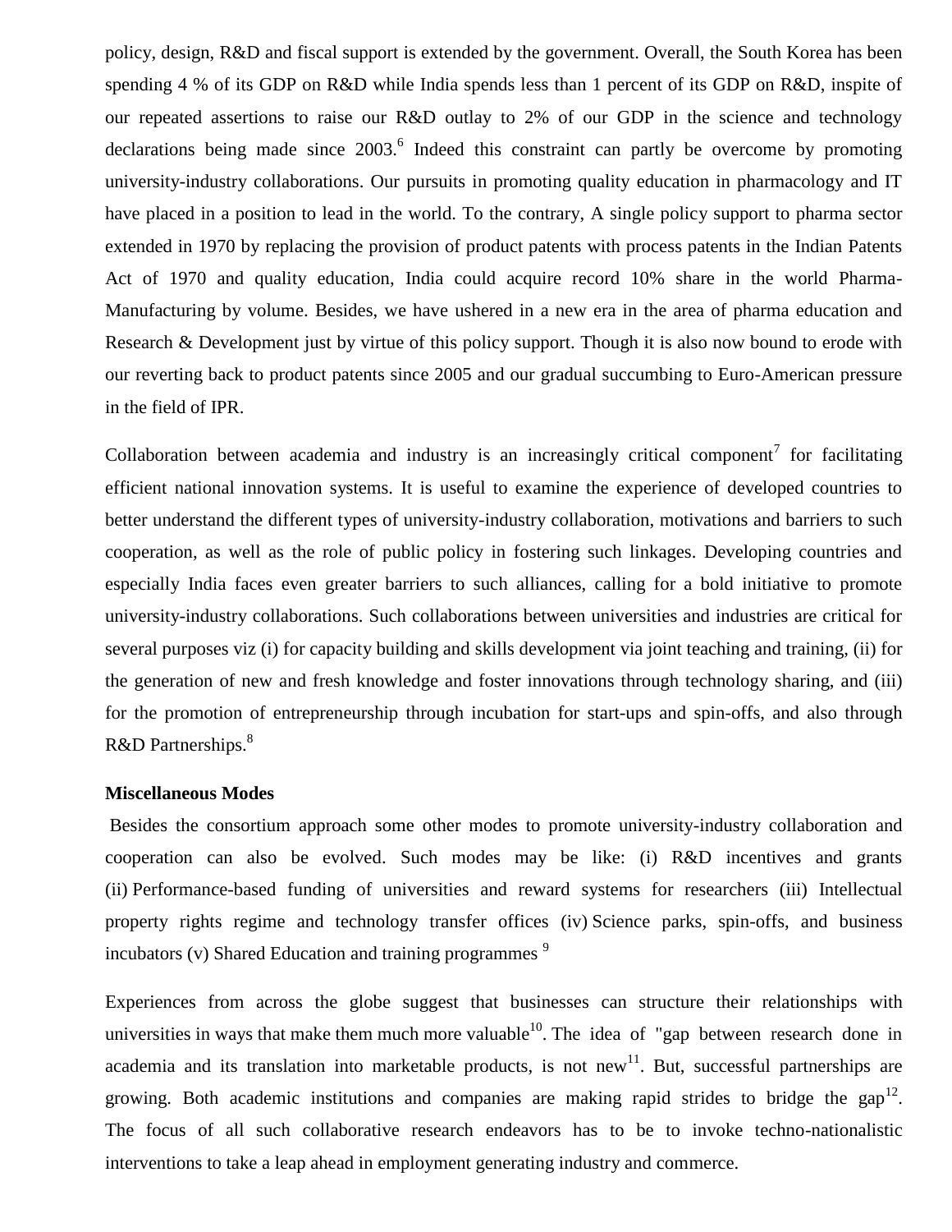policy, design, R&D and fiscal support is extended by the government. Overall, the South Korea has been spending 4 % of its GDP on R&D while India spends less than 1 percent of its GDP on R&D, inspite of our repeated assertions to raise our R&D outlay to 2% of our GDP in the science and technology declarations being made since  $2003$ .<sup>6</sup> Indeed this constraint can partly be overcome by promoting university-industry collaborations. Our pursuits in promoting quality education in pharmacology and IT have placed in a position to lead in the world. To the contrary, A single policy support to pharma sector extended in 1970 by replacing the provision of product patents with process patents in the Indian Patents Act of 1970 and quality education, India could acquire record 10% share in the world Pharma-Manufacturing by volume. Besides, we have ushered in a new era in the area of pharma education and Research & Development just by virtue of this policy support. Though it is also now bound to erode with our reverting back to product patents since 2005 and our gradual succumbing to Euro-American pressure in the field of IPR.

Collaboration between academia and industry is an increasingly critical component<sup>7</sup> for facilitating efficient national innovation systems. It is useful to examine the experience of developed countries to better understand the different types of university-industry collaboration, motivations and barriers to such cooperation, as well as the role of public policy in fostering such linkages. Developing countries and especially India faces even greater barriers to such alliances, calling for a bold initiative to promote university-industry collaborations. Such collaborations between universities and industries are critical for several purposes viz (i) for capacity building and skills development via joint teaching and training, (ii) for the generation of new and fresh knowledge and foster innovations through technology sharing, and (iii) for the promotion of entrepreneurship through incubation for start-ups and spin-offs, and also through R&D Partnerships.<sup>8</sup>

#### **Miscellaneous Modes**

Besides the consortium approach some other modes to promote university-industry collaboration and cooperation can also be evolved. Such modes may be like: (i) R&D incentives and grants (ii) Performance-based funding of universities and reward systems for researchers (iii) Intellectual property rights regime and technology transfer offices (iv) Science parks, spin-offs, and business incubators (v) Shared Education and training programmes  $9$ 

Experiences from across the globe suggest that businesses can structure their relationships with universities in ways that make them much more valuable  $10$ . The idea of "gap between research done in academia and its translation into marketable products, is not new<sup>11</sup>. But, successful partnerships are growing. Both academic institutions and companies are making rapid strides to bridge the gap<sup>12</sup>. The focus of all such collaborative research endeavors has to be to invoke techno-nationalistic interventions to take a leap ahead in employment generating industry and commerce.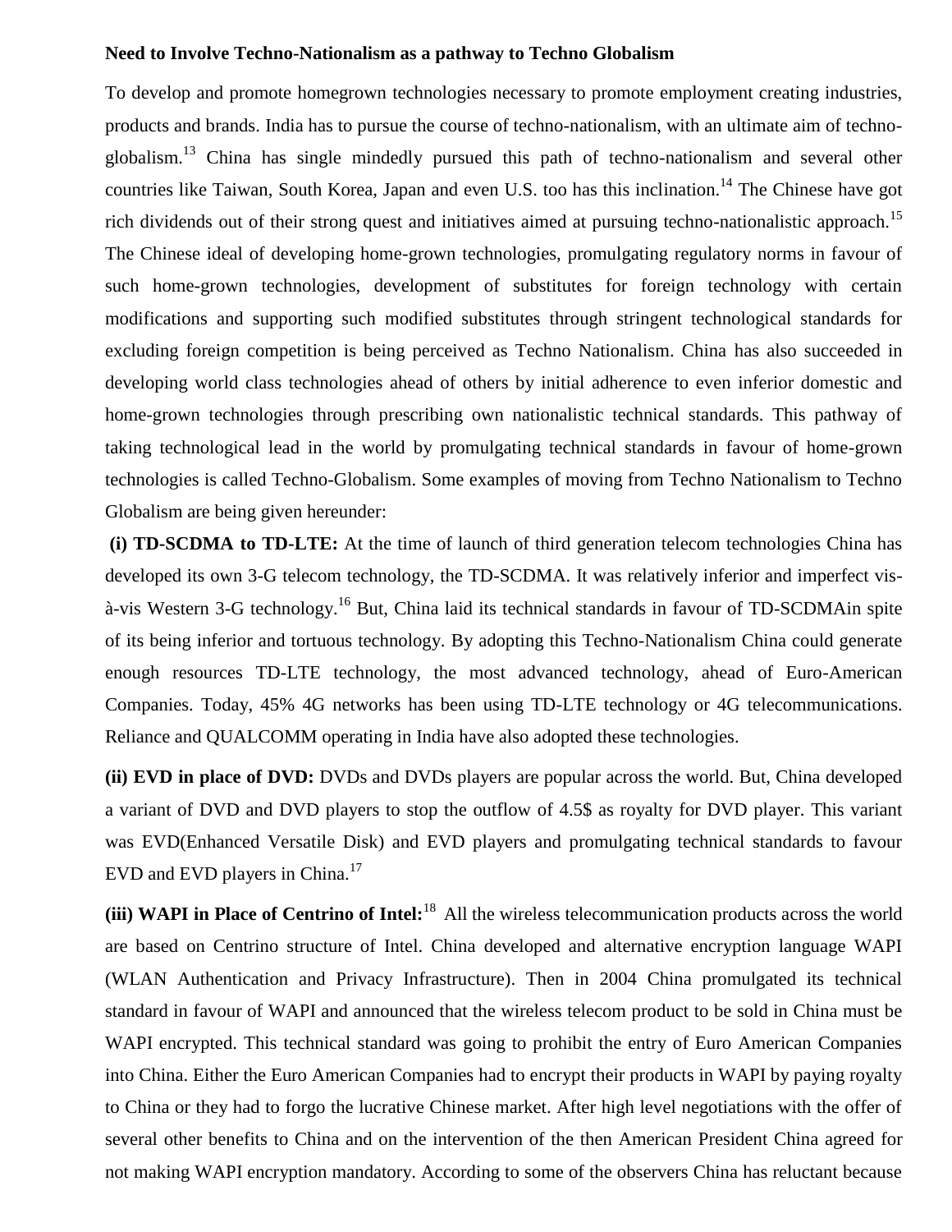#### **Need to Involve Techno-Nationalism as a pathway to Techno Globalism**

To develop and promote homegrown technologies necessary to promote employment creating industries, products and brands. India has to pursue the course of techno-nationalism, with an ultimate aim of technoglobalism.<sup>13</sup> China has single mindedly pursued this path of techno-nationalism and several other countries like Taiwan, South Korea, Japan and even U.S. too has this inclination.<sup>14</sup> The Chinese have got rich dividends out of their strong quest and initiatives aimed at pursuing techno-nationalistic approach.<sup>15</sup> The Chinese ideal of developing home-grown technologies, promulgating regulatory norms in favour of such home-grown technologies, development of substitutes for foreign technology with certain modifications and supporting such modified substitutes through stringent technological standards for excluding foreign competition is being perceived as Techno Nationalism. China has also succeeded in developing world class technologies ahead of others by initial adherence to even inferior domestic and home-grown technologies through prescribing own nationalistic technical standards. This pathway of taking technological lead in the world by promulgating technical standards in favour of home-grown technologies is called Techno-Globalism. Some examples of moving from Techno Nationalism to Techno Globalism are being given hereunder:

**(i) TD-SCDMA to TD-LTE:** At the time of launch of third generation telecom technologies China has developed its own 3-G telecom technology, the TD-SCDMA. It was relatively inferior and imperfect visà-vis Western 3-G technology.<sup>16</sup> But, China laid its technical standards in favour of TD-SCDMAin spite of its being inferior and tortuous technology. By adopting this Techno-Nationalism China could generate enough resources TD-LTE technology, the most advanced technology, ahead of Euro-American Companies. Today, 45% 4G networks has been using TD-LTE technology or 4G telecommunications. Reliance and QUALCOMM operating in India have also adopted these technologies.

**(ii) EVD in place of DVD:** DVDs and DVDs players are popular across the world. But, China developed a variant of DVD and DVD players to stop the outflow of 4.5\$ as royalty for DVD player. This variant was EVD(Enhanced Versatile Disk) and EVD players and promulgating technical standards to favour EVD and EVD players in China. $17$ 

**(iii) WAPI in Place of Centrino of Intel:**<sup>18</sup> All the wireless telecommunication products across the world are based on Centrino structure of Intel. China developed and alternative encryption language WAPI (WLAN Authentication and Privacy Infrastructure). Then in 2004 China promulgated its technical standard in favour of WAPI and announced that the wireless telecom product to be sold in China must be WAPI encrypted. This technical standard was going to prohibit the entry of Euro American Companies into China. Either the Euro American Companies had to encrypt their products in WAPI by paying royalty to China or they had to forgo the lucrative Chinese market. After high level negotiations with the offer of several other benefits to China and on the intervention of the then American President China agreed for not making WAPI encryption mandatory. According to some of the observers China has reluctant because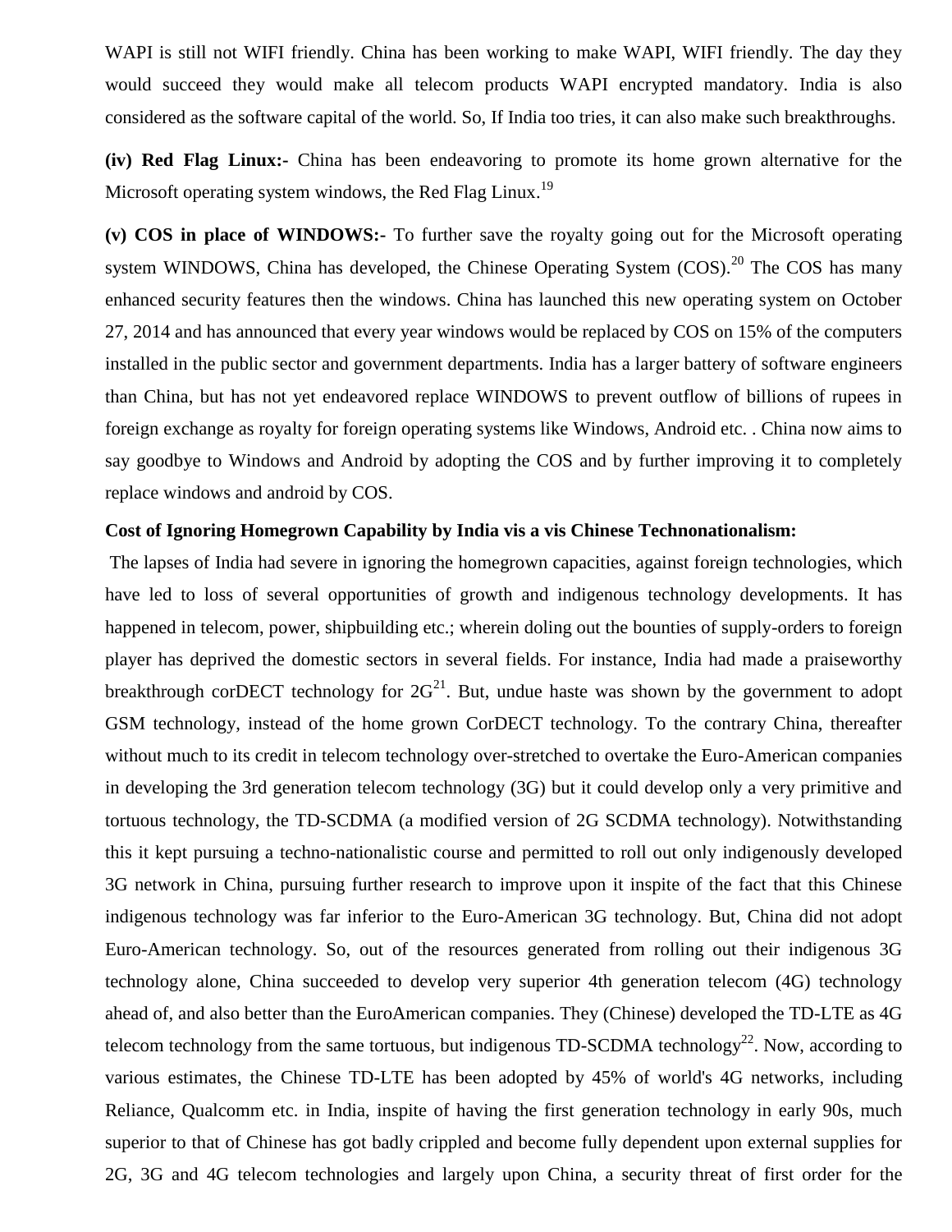WAPI is still not WIFI friendly. China has been working to make WAPI, WIFI friendly. The day they would succeed they would make all telecom products WAPI encrypted mandatory. India is also considered as the software capital of the world. So, If India too tries, it can also make such breakthroughs.

**(iv) Red Flag Linux:-** China has been endeavoring to promote its home grown alternative for the Microsoft operating system windows, the Red Flag Linux.<sup>19</sup>

**(v) COS in place of WINDOWS:-** To further save the royalty going out for the Microsoft operating system WINDOWS, China has developed, the Chinese Operating System  $(COS)$ <sup>20</sup>. The COS has many enhanced security features then the windows. China has launched this new operating system on October 27, 2014 and has announced that every year windows would be replaced by COS on 15% of the computers installed in the public sector and government departments. India has a larger battery of software engineers than China, but has not yet endeavored replace WINDOWS to prevent outflow of billions of rupees in foreign exchange as royalty for foreign operating systems like Windows, Android etc. . China now aims to say goodbye to Windows and Android by adopting the COS and by further improving it to completely replace windows and android by COS.

## **Cost of Ignoring Homegrown Capability by India vis a vis Chinese Technonationalism:**

The lapses of India had severe in ignoring the homegrown capacities, against foreign technologies, which have led to loss of several opportunities of growth and indigenous technology developments. It has happened in telecom, power, shipbuilding etc.; wherein doling out the bounties of supply-orders to foreign player has deprived the domestic sectors in several fields. For instance, India had made a praiseworthy breakthrough corDECT technology for  $2G^{21}$ . But, undue haste was shown by the government to adopt GSM technology, instead of the home grown CorDECT technology. To the contrary China, thereafter without much to its credit in telecom technology over-stretched to overtake the Euro-American companies in developing the 3rd generation telecom technology (3G) but it could develop only a very primitive and tortuous technology, the TD-SCDMA (a modified version of 2G SCDMA technology). Notwithstanding this it kept pursuing a techno-nationalistic course and permitted to roll out only indigenously developed 3G network in China, pursuing further research to improve upon it inspite of the fact that this Chinese indigenous technology was far inferior to the Euro-American 3G technology. But, China did not adopt Euro-American technology. So, out of the resources generated from rolling out their indigenous 3G technology alone, China succeeded to develop very superior 4th generation telecom (4G) technology ahead of, and also better than the EuroAmerican companies. They (Chinese) developed the TD-LTE as 4G telecom technology from the same tortuous, but indigenous TD-SCDMA technology<sup>22</sup>. Now, according to various estimates, the Chinese TD-LTE has been adopted by 45% of world's 4G networks, including Reliance, Qualcomm etc. in India, inspite of having the first generation technology in early 90s, much superior to that of Chinese has got badly crippled and become fully dependent upon external supplies for 2G, 3G and 4G telecom technologies and largely upon China, a security threat of first order for the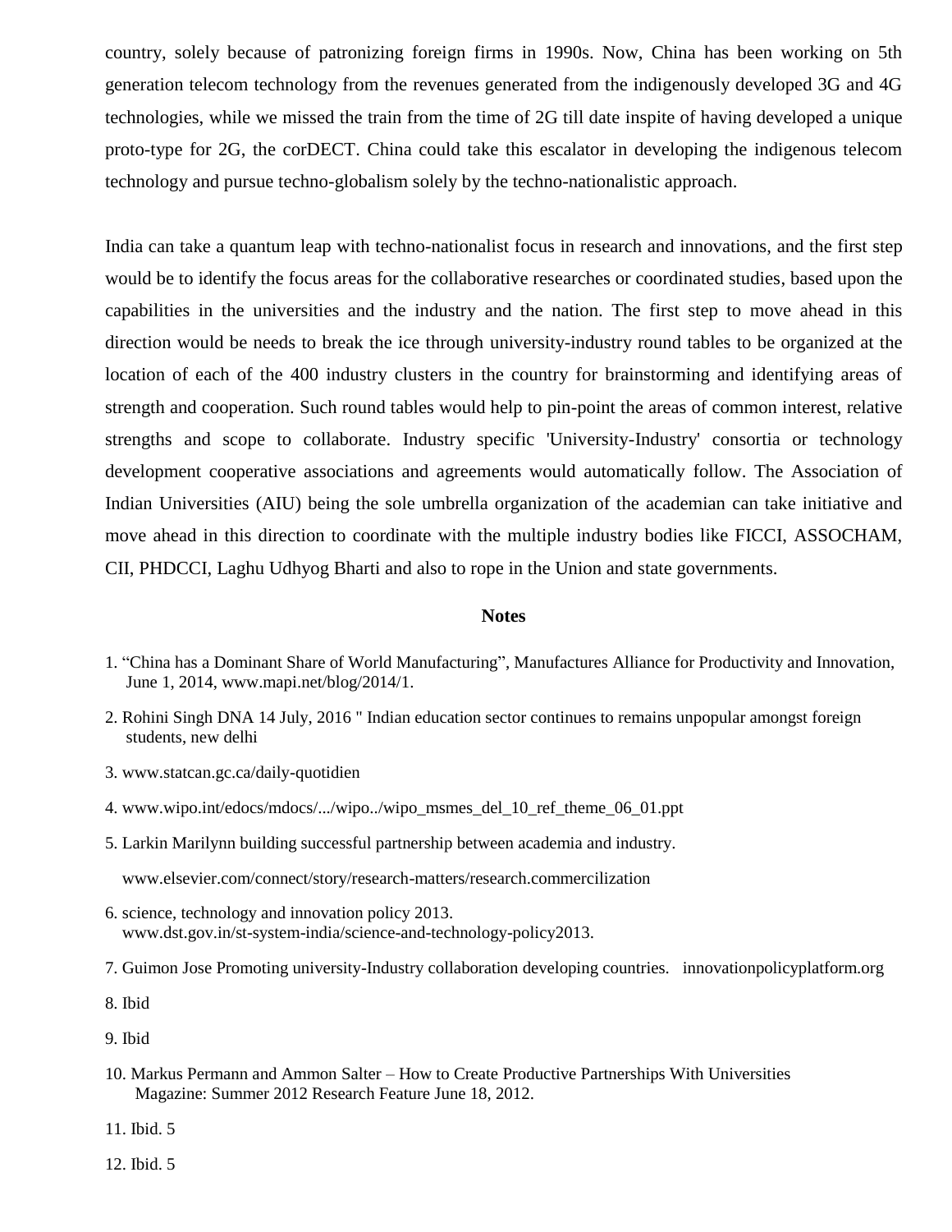country, solely because of patronizing foreign firms in 1990s. Now, China has been working on 5th generation telecom technology from the revenues generated from the indigenously developed 3G and 4G technologies, while we missed the train from the time of 2G till date inspite of having developed a unique proto-type for 2G, the corDECT. China could take this escalator in developing the indigenous telecom technology and pursue techno-globalism solely by the techno-nationalistic approach.

India can take a quantum leap with techno-nationalist focus in research and innovations, and the first step would be to identify the focus areas for the collaborative researches or coordinated studies, based upon the capabilities in the universities and the industry and the nation. The first step to move ahead in this direction would be needs to break the ice through university-industry round tables to be organized at the location of each of the 400 industry clusters in the country for brainstorming and identifying areas of strength and cooperation. Such round tables would help to pin-point the areas of common interest, relative strengths and scope to collaborate. Industry specific 'University-Industry' consortia or technology development cooperative associations and agreements would automatically follow. The Association of Indian Universities (AIU) being the sole umbrella organization of the academian can take initiative and move ahead in this direction to coordinate with the multiple industry bodies like FICCI, ASSOCHAM, CII, PHDCCI, Laghu Udhyog Bharti and also to rope in the Union and state governments.

#### **Notes**

- 1. "China has a Dominant Share of World Manufacturing", Manufactures Alliance for Productivity and Innovation, June 1, 2014, www.mapi.net/blog/2014/1.
- 2. Rohini Singh DNA 14 July, 2016 " Indian education sector continues to remains unpopular amongst foreign students, new delhi
- 3. www.statcan.gc.ca/daily-quotidien
- 4. www.wipo.int/edocs/mdocs/.../wipo../wipo\_msmes\_del\_10\_ref\_theme\_06\_01.ppt
- 5. Larkin Marilynn building successful partnership between academia and industry.

www.elsevier.com/connect/story/research-matters/research.commercilization

- 6. science, technology and innovation policy 2013. www.dst.gov.in/st-system-india/science-and-technology-policy2013.
- 7. Guimon Jose Promoting university-Industry collaboration developing countries. innovationpolicyplatform.org
- 8. Ibid
- 9. Ibid
- 10. Markus Permann and Ammon Salter How to Create Productive Partnerships With Universities Magazine: Summer 2012 Research Feature June 18, 2012.
- 11. Ibid. 5
- 12. Ibid. 5